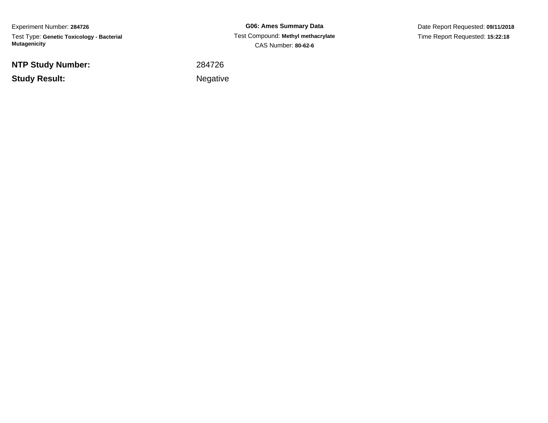Experiment Number: **284726**Test Type: **Genetic Toxicology - Bacterial Mutagenicity**

**NTP Study Number:**

**Example 2** is a set of the set of the Negative **Study Result:**

**G06: Ames Summary Data** Test Compound: **Methyl methacrylate**CAS Number: **80-62-6**

Date Report Requested: **09/11/2018**Time Report Requested: **15:22:18**

<sup>284726</sup>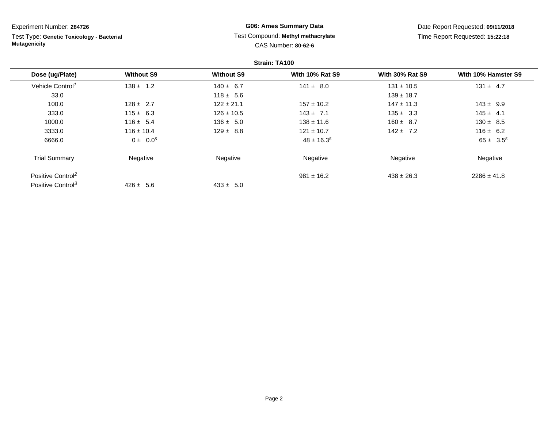Test Type: **Genetic Toxicology - Bacterial Mutagenicity**

# **G06: Ames Summary Data** Test Compound: **Methyl methacrylate**CAS Number: **80-62-6**

|                               |                   |                   | Strain: TA100          |                        |                     |
|-------------------------------|-------------------|-------------------|------------------------|------------------------|---------------------|
| Dose (ug/Plate)               | <b>Without S9</b> | <b>Without S9</b> | <b>With 10% Rat S9</b> | <b>With 30% Rat S9</b> | With 10% Hamster S9 |
| Vehicle Control <sup>1</sup>  | $138 \pm 1.2$     | $140 \pm 6.7$     | $141 \pm 8.0$          | $131 \pm 10.5$         | $131 \pm 4.7$       |
| 33.0                          |                   | $118 \pm 5.6$     |                        | $139 \pm 18.7$         |                     |
| 100.0                         | $128 \pm 2.7$     | $122 \pm 21.1$    | $157 \pm 10.2$         | $147 \pm 11.3$         | $143 \pm 9.9$       |
| 333.0                         | $115 \pm 6.3$     | $126 \pm 10.5$    | $143 \pm 7.1$          | $135 \pm 3.3$          | $145 \pm 4.1$       |
| 1000.0                        | $116 \pm 5.4$     | $136 \pm 5.0$     | $138 \pm 11.6$         | $160 \pm 8.7$          | $130 \pm 8.5$       |
| 3333.0                        | $116 \pm 10.4$    | $129 \pm 8.8$     | $121 \pm 10.7$         | $142 \pm 7.2$          | $116 \pm 6.2$       |
| 6666.0                        | $0 \pm 0.0^s$     |                   | $48 \pm 16.3^s$        |                        | $65 \pm 3.5^s$      |
| <b>Trial Summary</b>          | Negative          | Negative          | Negative               | Negative               | Negative            |
| Positive Control <sup>2</sup> |                   |                   | $981 \pm 16.2$         | $438 \pm 26.3$         | $2286 \pm 41.8$     |
| Positive Control <sup>3</sup> | $426 \pm 5.6$     | $433 \pm 5.0$     |                        |                        |                     |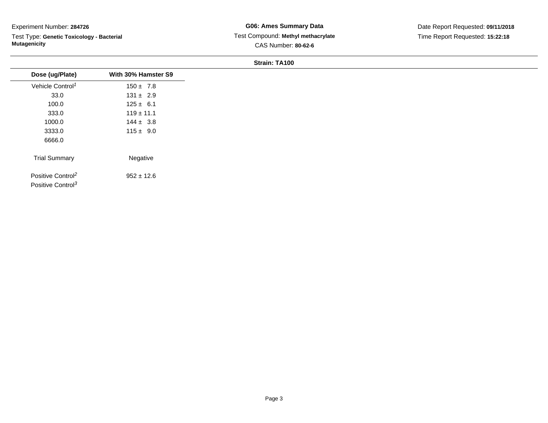Test Type: **Genetic Toxicology - Bacterial Mutagenicity**

**G06: Ames Summary Data** Test Compound: **Methyl methacrylate**CAS Number: **80-62-6**

Date Report Requested: **09/11/2018**Time Report Requested: **15:22:18**

| Dose (ug/Plate)                                                | With 30% Hamster S9 |
|----------------------------------------------------------------|---------------------|
| Vehicle Control <sup>1</sup>                                   | $150 \pm 7.8$       |
| 33.0                                                           | $131 \pm 2.9$       |
| 100.0                                                          | $125 \pm 6.1$       |
| 333.0                                                          | $119 \pm 11.1$      |
| 1000.0                                                         | $144 \pm 3.8$       |
| 3333.0                                                         | $115 \pm 9.0$       |
| 6666.0                                                         |                     |
| <b>Trial Summary</b>                                           | Negative            |
| Positive Control <sup>2</sup><br>Positive Control <sup>3</sup> | $952 \pm 12.6$      |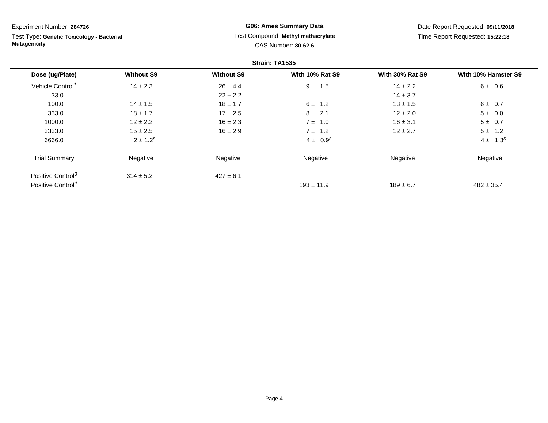Test Type: **Genetic Toxicology - Bacterial Mutagenicity**

# **G06: Ames Summary Data** Test Compound: **Methyl methacrylate**CAS Number: **80-62-6**

|                               |                   |                   | Strain: TA1535         |                        |                     |
|-------------------------------|-------------------|-------------------|------------------------|------------------------|---------------------|
| Dose (ug/Plate)               | <b>Without S9</b> | <b>Without S9</b> | <b>With 10% Rat S9</b> | <b>With 30% Rat S9</b> | With 10% Hamster S9 |
| Vehicle Control <sup>1</sup>  | $14 \pm 2.3$      | $26 \pm 4.4$      | $9 \pm 1.5$            | $14 \pm 2.2$           | $6 \pm 0.6$         |
| 33.0                          |                   | $22 \pm 2.2$      |                        | $14 \pm 3.7$           |                     |
| 100.0                         | $14 \pm 1.5$      | $18 \pm 1.7$      | $6 \pm 1.2$            | $13 \pm 1.5$           | $6 \pm 0.7$         |
| 333.0                         | $18 \pm 1.7$      | $17 \pm 2.5$      | $8 \pm 2.1$            | $12 \pm 2.0$           | $5 \pm 0.0$         |
| 1000.0                        | $12 \pm 2.2$      | $16 \pm 2.3$      | $7 \pm 1.0$            | $16 \pm 3.1$           | 5 ± 0.7             |
| 3333.0                        | $15 \pm 2.5$      | $16 \pm 2.9$      | $7 \pm 1.2$            | $12 \pm 2.7$           | $5 \pm 1.2$         |
| 6666.0                        | $2 \pm 1.2^s$     |                   | $4 \pm 0.9^{s}$        |                        | $4 \pm 1.3^{s}$     |
| <b>Trial Summary</b>          | Negative          | Negative          | Negative               | Negative               | Negative            |
| Positive Control <sup>3</sup> | $314 \pm 5.2$     | $427 \pm 6.1$     |                        |                        |                     |
| Positive Control <sup>4</sup> |                   |                   | $193 \pm 11.9$         | $189 \pm 6.7$          | $482 \pm 35.4$      |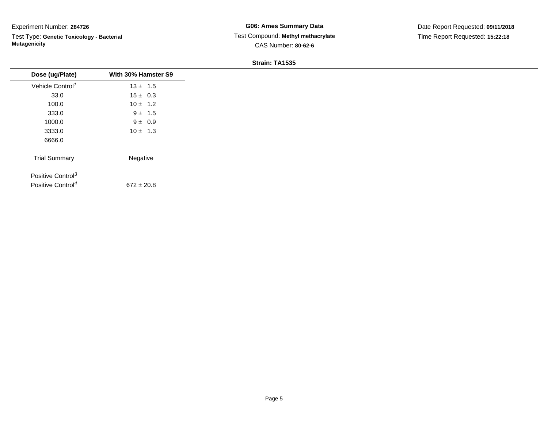Test Type: **Genetic Toxicology - Bacterial Mutagenicity**

| Dose (ug/Plate)               | With 30% Hamster S9 |
|-------------------------------|---------------------|
| Vehicle Control <sup>1</sup>  | $13 \pm 1.5$        |
| 33.0                          | $15 \pm 0.3$        |
| 100.0                         | $10 \pm 1.2$        |
| 333.0                         | $9 \pm 1.5$         |
| 1000.0                        | $9 \pm 0.9$         |
| 3333.0                        | $10 \pm 1.3$        |
| 6666.0                        |                     |
| <b>Trial Summary</b>          | Negative            |
| Positive Control <sup>3</sup> |                     |
| Positive Control <sup>4</sup> | $672 \pm 20.8$      |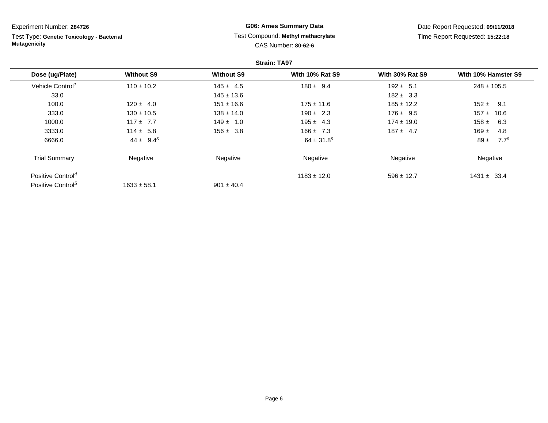Test Type: **Genetic Toxicology - Bacterial Mutagenicity**

# **G06: Ames Summary Data** Test Compound: **Methyl methacrylate**CAS Number: **80-62-6**

|                               |                   |                   | <b>Strain: TA97</b>        |                        |                              |
|-------------------------------|-------------------|-------------------|----------------------------|------------------------|------------------------------|
| Dose (ug/Plate)               | <b>Without S9</b> | <b>Without S9</b> | <b>With 10% Rat S9</b>     | <b>With 30% Rat S9</b> | With 10% Hamster S9          |
| Vehicle Control <sup>1</sup>  | $110 \pm 10.2$    | $145 \pm 4.5$     | $180 \pm 9.4$              | $192 \pm 5.1$          | $248 \pm 105.5$              |
| 33.0                          |                   | $145 \pm 13.6$    |                            | $182 \pm 3.3$          |                              |
| 100.0                         | $120 \pm 4.0$     | $151 \pm 16.6$    | $175 \pm 11.6$             | $185 \pm 12.2$         | $152 \pm 9.1$                |
| 333.0                         | $130 \pm 10.5$    | $138 \pm 14.0$    | $190 \pm 2.3$              | $176 \pm 9.5$          | $157 \pm 10.6$               |
| 1000.0                        | $117 + 7.7$       | $149 \pm 1.0$     | $195 \pm 4.3$              | $174 \pm 19.0$         | 158 $\pm$<br>6.3             |
| 3333.0                        | $114 \pm 5.8$     | $156 \pm 3.8$     | $166 \pm 7.3$              | $187 \pm 4.7$          | $169 \pm$<br>4.8             |
| 6666.0                        | $44 \pm 9.4^s$    |                   | $64 \pm 31.8$ <sup>s</sup> |                        | $89 \pm$<br>7.7 <sup>s</sup> |
| <b>Trial Summary</b>          | Negative          | Negative          | Negative                   | Negative               | Negative                     |
| Positive Control <sup>4</sup> |                   |                   | $1183 \pm 12.0$            | $596 \pm 12.7$         | $1431 \pm 33.4$              |
| Positive Control <sup>5</sup> | $1633 \pm 58.1$   | $901 \pm 40.4$    |                            |                        |                              |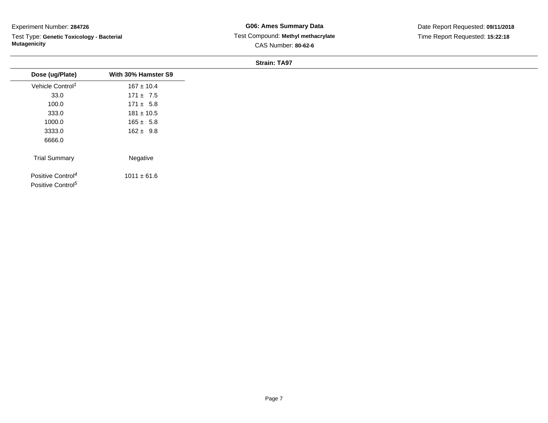Test Type: **Genetic Toxicology - Bacterial Mutagenicity**

**G06: Ames Summary Data** Test Compound: **Methyl methacrylate**CAS Number: **80-62-6**

Date Report Requested: **09/11/2018**Time Report Requested: **15:22:18**

| Dose (ug/Plate)                                                | With 30% Hamster S9 |
|----------------------------------------------------------------|---------------------|
| Vehicle Control <sup>1</sup>                                   | $167 \pm 10.4$      |
| 33.0                                                           | $171 \pm 7.5$       |
| 100.0                                                          | $171 \pm 5.8$       |
| 333.0                                                          | $181 \pm 10.5$      |
| 1000.0                                                         | $165 \pm 5.8$       |
| 3333.0                                                         | $162 \pm 9.8$       |
| 6666.0                                                         |                     |
| <b>Trial Summary</b>                                           | Negative            |
| Positive Control <sup>4</sup><br>Positive Control <sup>5</sup> | $1011 \pm 61.6$     |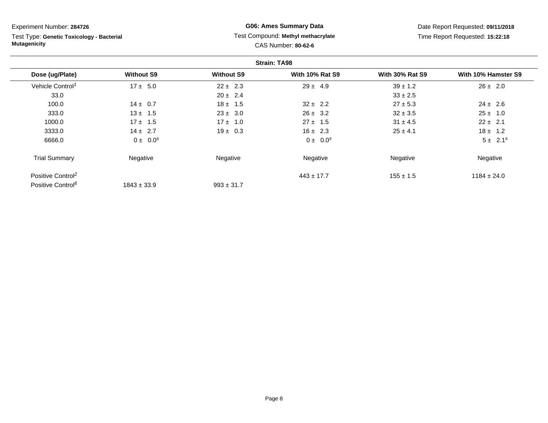Test Type: **Genetic Toxicology - Bacterial Mutagenicity**

# **G06: Ames Summary Data** Test Compound: **Methyl methacrylate**CAS Number: **80-62-6**

|                               |                   |                   | <b>Strain: TA98</b>    |                        |                     |
|-------------------------------|-------------------|-------------------|------------------------|------------------------|---------------------|
| Dose (ug/Plate)               | <b>Without S9</b> | <b>Without S9</b> | <b>With 10% Rat S9</b> | <b>With 30% Rat S9</b> | With 10% Hamster S9 |
| Vehicle Control <sup>1</sup>  | $17 \pm 5.0$      | $22 \pm 2.3$      | $29 \pm 4.9$           | $39 \pm 1.2$           | $26 \pm 2.0$        |
| 33.0                          |                   | $20 \pm 2.4$      |                        | $33 \pm 2.5$           |                     |
| 100.0                         | $14 \pm 0.7$      | $18 \pm 1.5$      | $32 \pm 2.2$           | $27 \pm 5.3$           | $24 \pm 2.6$        |
| 333.0                         | $13 \pm 1.5$      | $23 \pm 3.0$      | $26 \pm 3.2$           | $32 \pm 3.5$           | $25 \pm 1.0$        |
| 1000.0                        | $17 \pm 1.5$      | $17 \pm 1.0$      | $27 \pm 1.5$           | $31 \pm 4.5$           | $22 \pm 2.1$        |
| 3333.0                        | $14 \pm 2.7$      | $19 \pm 0.3$      | $16 \pm 2.3$           | $25 \pm 4.1$           | $18 \pm 1.2$        |
| 6666.0                        | $0 \pm 0.0^s$     |                   | $0 \pm 0.0^s$          |                        | $5 \pm 2.1^s$       |
| <b>Trial Summary</b>          | Negative          | Negative          | Negative               | Negative               | Negative            |
| Positive Control <sup>2</sup> |                   |                   | $443 \pm 17.7$         | $155 \pm 1.5$          | $1184 \pm 24.0$     |
| Positive Control <sup>6</sup> | $1843 \pm 33.9$   | $993 \pm 31.7$    |                        |                        |                     |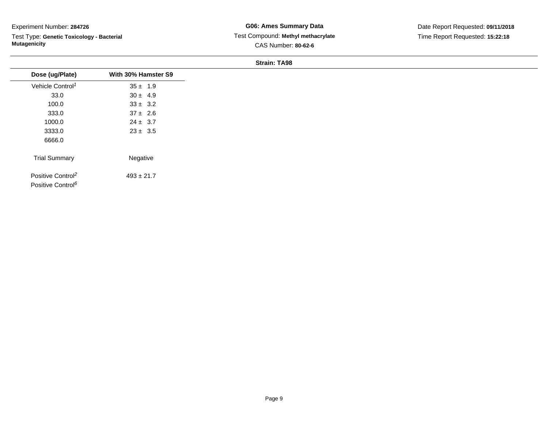Test Type: **Genetic Toxicology - Bacterial Mutagenicity**

**G06: Ames Summary Data** Test Compound: **Methyl methacrylate**CAS Number: **80-62-6**

Date Report Requested: **09/11/2018**Time Report Requested: **15:22:18**

| Dose (ug/Plate)                                                | With 30% Hamster S9 |
|----------------------------------------------------------------|---------------------|
| Vehicle Control <sup>1</sup>                                   | $35 \pm 1.9$        |
| 33.0                                                           | $30 \pm 4.9$        |
| 100.0                                                          | $33 \pm 3.2$        |
| 333.0                                                          | $37 \pm 2.6$        |
| 1000.0                                                         | $24 \pm 3.7$        |
| 3333.0                                                         | $23 \pm 3.5$        |
| 6666.0                                                         |                     |
| <b>Trial Summary</b>                                           | Negative            |
| Positive Control <sup>2</sup><br>Positive Control <sup>6</sup> | $493 \pm 21.7$      |